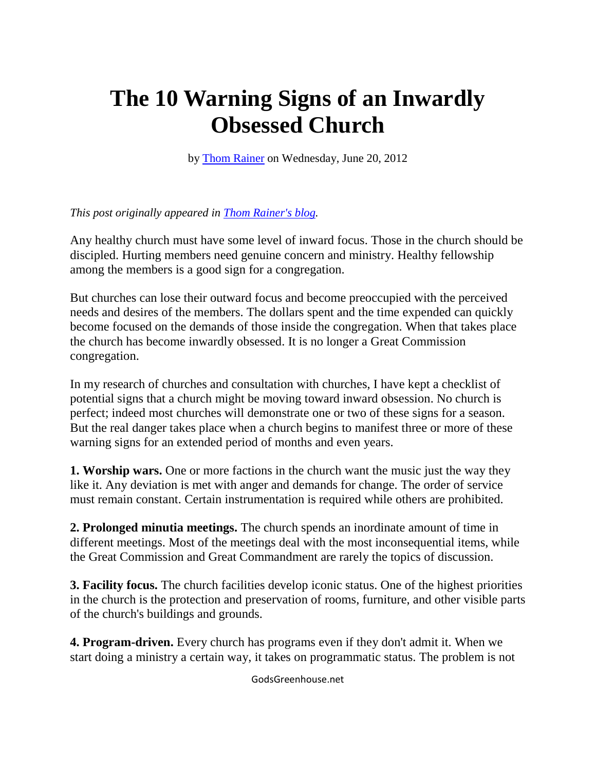## **The 10 Warning Signs of an Inwardly Obsessed Church**

by [Thom Rainer](http://www.lifeway.com/article/ten-warming-signs-inwardly-obsessed-church?EMID=CW-PastorsToday-20120625#author_bio_0) on Wednesday, June 20, 2012

## *This post originally appeared in [Thom Rainer's blog.](http://www.thomrainer.com/)*

Any healthy church must have some level of inward focus. Those in the church should be discipled. Hurting members need genuine concern and ministry. Healthy fellowship among the members is a good sign for a congregation.

But churches can lose their outward focus and become preoccupied with the perceived needs and desires of the members. The dollars spent and the time expended can quickly become focused on the demands of those inside the congregation. When that takes place the church has become inwardly obsessed. It is no longer a Great Commission congregation.

In my research of churches and consultation with churches, I have kept a checklist of potential signs that a church might be moving toward inward obsession. No church is perfect; indeed most churches will demonstrate one or two of these signs for a season. But the real danger takes place when a church begins to manifest three or more of these warning signs for an extended period of months and even years.

**1. Worship wars.** One or more factions in the church want the music just the way they like it. Any deviation is met with anger and demands for change. The order of service must remain constant. Certain instrumentation is required while others are prohibited.

**2. Prolonged minutia meetings.** The church spends an inordinate amount of time in different meetings. Most of the meetings deal with the most inconsequential items, while the Great Commission and Great Commandment are rarely the topics of discussion.

**3. Facility focus.** The church facilities develop iconic status. One of the highest priorities in the church is the protection and preservation of rooms, furniture, and other visible parts of the church's buildings and grounds.

**4. Program-driven.** Every church has programs even if they don't admit it. When we start doing a ministry a certain way, it takes on programmatic status. The problem is not